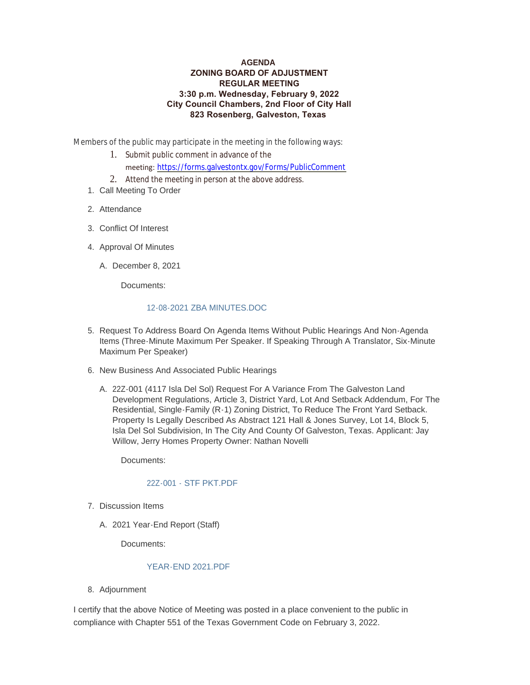### **AGENDA ZONING BOARD OF ADJUSTMENT REGULAR MEETING 3:30 p.m. Wednesday, February 9, 2022 City Council Chambers, 2nd Floor of City Hall 823 Rosenberg, Galveston, Texas**

Members of the public may participate in the meeting in the following ways:

- 1. Submit public comment in advance of the meeting: <https://forms.galvestontx.gov/Forms/PublicComment>
- 2. Attend the meeting in person at the above address.
- 1. Call Meeting To Order
- 2. Attendance
- Conflict Of Interest 3.
- 4. Approval Of Minutes
	- A. December 8, 2021

Documents:

### [12-08-2021 ZBA MINUTES.DOC](https://www.galvestontx.gov/AgendaCenter/ViewFile/Item/13703?fileID=31934)

- 5. Request To Address Board On Agenda Items Without Public Hearings And Non-Agenda Items (Three-Minute Maximum Per Speaker. If Speaking Through A Translator, Six-Minute Maximum Per Speaker)
- 6. New Business And Associated Public Hearings
	- A. 22Z-001 (4117 Isla Del Sol) Request For A Variance From The Galveston Land Development Regulations, Article 3, District Yard, Lot And Setback Addendum, For The Residential, Single-Family (R-1) Zoning District, To Reduce The Front Yard Setback. Property Is Legally Described As Abstract 121 Hall & Jones Survey, Lot 14, Block 5, Isla Del Sol Subdivision, In The City And County Of Galveston, Texas. Applicant: Jay Willow, Jerry Homes Property Owner: Nathan Novelli

Documents:

# [22Z-001 - STF PKT.PDF](https://www.galvestontx.gov/AgendaCenter/ViewFile/Item/13704?fileID=31933)

- 7. Discussion Items
	- 2021 Year-End Report (Staff) A.

Documents:

### [YEAR-END 2021.PDF](https://www.galvestontx.gov/AgendaCenter/ViewFile/Item/13702?fileID=31932)

8. Adjournment

I certify that the above Notice of Meeting was posted in a place convenient to the public in compliance with Chapter 551 of the Texas Government Code on February 3, 2022.